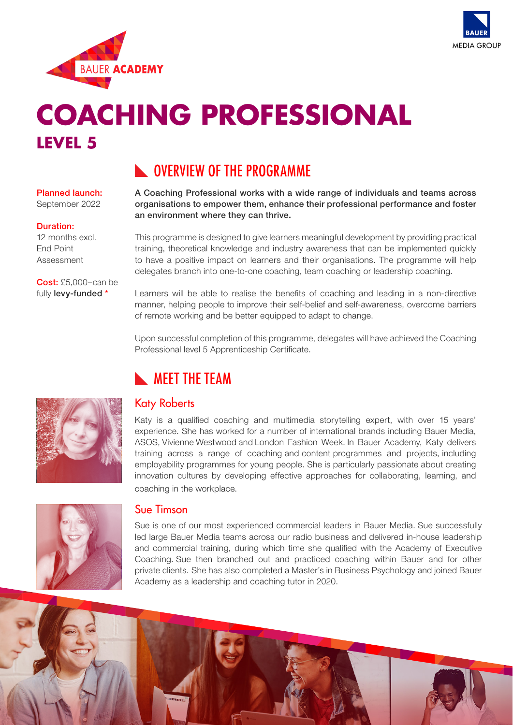



# **COACHING PROFESSIONAL LEVEL 5**

# **NUMBER OVERVIEW OF THE PROGRAMME**

## Planned launch:

September 2022

### Duration:

12 months excl. End Point Assessment

Cost: £5,000–can be fully levy-funded \*

an environment where they can thrive. This programme is designed to give learners meaningful development by providing practical training, theoretical knowledge and industry awareness that can be implemented quickly

A Coaching Professional works with a wide range of individuals and teams across organisations to empower them, enhance their professional performance and foster

to have a positive impact on learners and their organisations. The programme will help delegates branch into one-to-one coaching, team coaching or leadership coaching.

Learners will be able to realise the benefits of coaching and leading in a non-directive manner, helping people to improve their self-belief and self-awareness, overcome barriers of remote working and be better equipped to adapt to change.

Upon successful completion of this programme, delegates will have achieved the Coaching Professional level 5 Apprenticeship Certificate.



# Katy Roberts

**NEET THE TEAM** 

Katy is a qualified coaching and multimedia storytelling expert, with over 15 years' experience. She has worked for a number of international brands including Bauer Media, ASOS, Vivienne Westwood and London Fashion Week. In Bauer Academy, Katy delivers training across a range of coaching and content programmes and projects, including employability programmes for young people. She is particularly passionate about creating innovation cultures by developing effective approaches for collaborating, learning, and coaching in the workplace.



### Sue Timson

Sue is one of our most experienced commercial leaders in Bauer Media. Sue successfully led large Bauer Media teams across our radio business and delivered in-house leadership and commercial training, during which time she qualified with the Academy of Executive Coaching. Sue then branched out and practiced coaching within Bauer and for other private clients. She has also completed a Master's in Business Psychology and joined Bauer Academy as a leadership and coaching tutor in 2020.